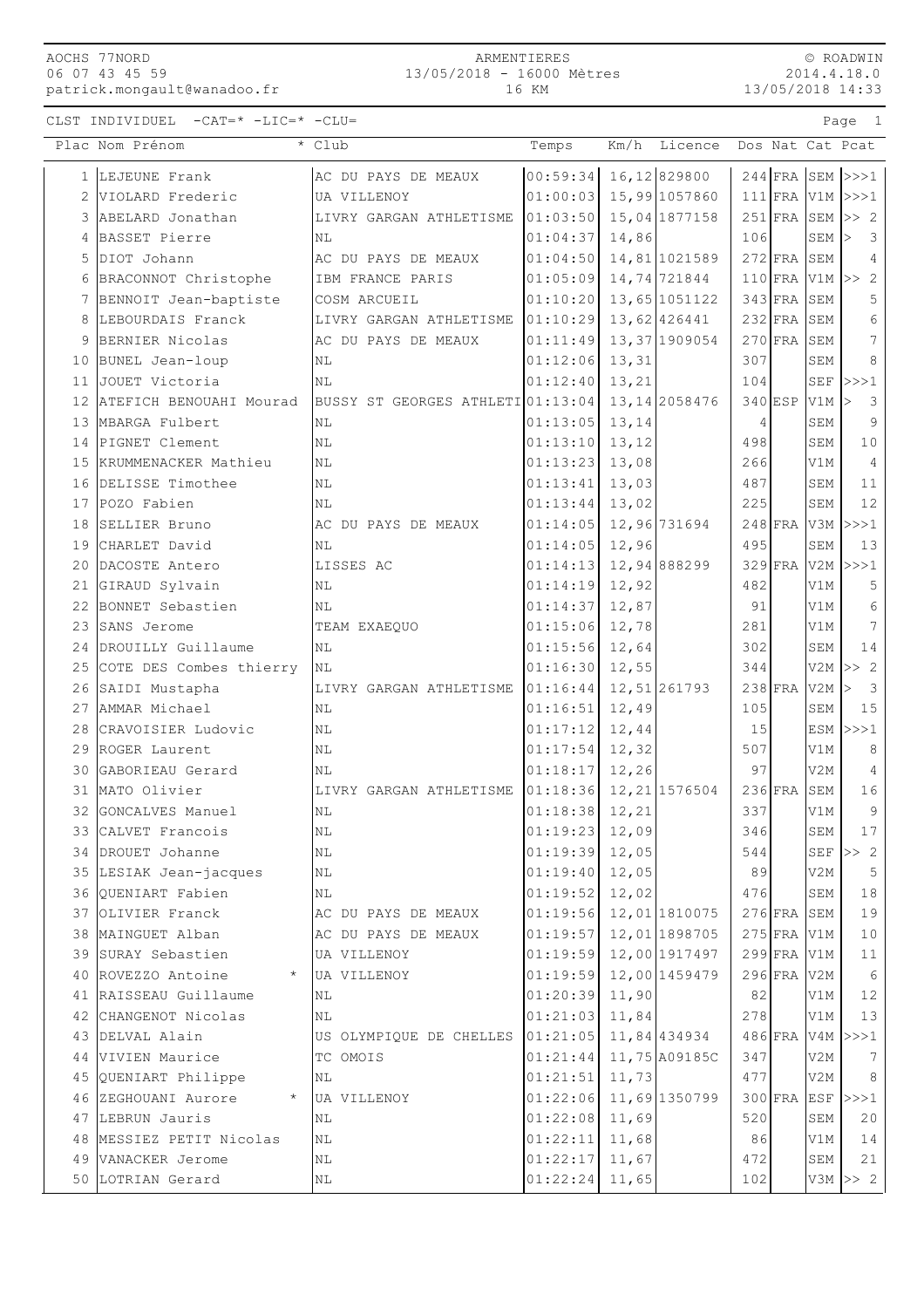## ARMENTIERES 13/05/2018 - 16000 Mètres 16 KM

Plac Nom Prénom \* Club \* Club Temps Km/h Licence Dos Nat Cat Pcat

© ROADWIN  $.18.0$ 

CLST INDIVIDUEL -CAT=\* -LIC=\* -CLU= Page 1

| <b>WHATMATION</b> |
|-------------------|
| 2014.4.18.0       |
| 13/05/2018 14:33  |

|    | 1 LEJEUNE Frank                 | AC DU PAYS DE MEAUX               | 00:59:34       | 16, 12 829800  | $244$ FRA SEM $>>1$  |                      |                              |
|----|---------------------------------|-----------------------------------|----------------|----------------|----------------------|----------------------|------------------------------|
| 2  | VIOLARD Frederic                | UA VILLENOY                       | 01:00:03       | 15,99 1057860  | $111$ FRA V1M >>>1   |                      |                              |
| 3  | ABELARD Jonathan                | LIVRY GARGAN ATHLETISME           | 01:03:50       | 15,04 1877158  | $251$ FRA SEM        |                      | >> 2                         |
| 4  | BASSET Pierre                   | ΝL                                | 01:04:37       | 14,86          | 106                  | SEM                  | 3<br>l>                      |
| 5  | DIOT Johann                     | AC DU PAYS DE MEAUX               | 01:04:50       | 14,81 1021589  | $272$ FRA SEM        |                      | 4                            |
| 6  | BRACONNOT Christophe            | IBM FRANCE PARIS                  | 01:05:09       | 14,74 721844   | $110$ FRA V1M        |                      | >> 2                         |
|    | 7 BENNOIT Jean-baptiste         | COSM ARCUEIL                      | 01:10:20       | 13,65 1051122  | $343$ FRA            | SEM                  | 5                            |
| 8  | LEBOURDAIS Franck               | LIVRY GARGAN ATHLETISME 01:10:29  |                | 13,62 426441   | $232$ FRA SEM        |                      | 6                            |
| 9  | BERNIER Nicolas                 | AC DU PAYS DE MEAUX               | 01:11:49       | 13, 37 1909054 | $270$ FRA            | SEM                  | 7                            |
|    | 10 BUNEL Jean-loup              | ΝL                                | 01:12:06       | 13,31          | 307                  | SEM                  | 8                            |
|    | 11 JOUET Victoria               | N <sub>L</sub>                    | 01:12:40       | 13,21          | 104                  | $\operatorname{SEF}$ | >>>1                         |
|    | 12 ATEFICH BENOUAHI Mourad      | BUSSY ST GEORGES ATHLETI 01:13:04 |                | 13, 14 2058476 | $340$ ESP            | V1M                  | 3<br>l>                      |
| 13 | MBARGA Fulbert                  | ΝL                                | 01:13:05       | 13,14          | 4                    | SEM                  | 9                            |
| 14 | PIGNET Clement                  | NL                                | 01:13:10       | 13,12          | 498                  | SEM                  | $1\,0$                       |
| 15 | KRUMMENACKER Mathieu            | NL                                | 01:13:23       | 13,08          | 266                  | V1M                  | $\overline{4}$               |
|    | 16 DELISSE Timothee             | NL                                | 01:13:41       | 13,03          | 487                  | SEM                  | 11                           |
|    | 17 POZO Fabien                  | ΝL                                | 01:13:44       | 13,02          | 225                  | SEM                  | 12                           |
|    | 18 SELLIER Bruno                | AC DU PAYS DE MEAUX               | 01:14:05       | 12,96 731694   | 248 FRA V3M          |                      | >>>1                         |
|    | 19 CHARLET David                | ΝL                                | 01:14:05       | 12,96          | 495                  | SEM                  | 13                           |
|    | 20 DACOSTE Antero               | LISSES AC                         | 01:14:13       | 12,94 888299   | $329$ FRA            | V2M                  | >>>1                         |
|    | 21 GIRAUD Sylvain               | ΝL                                | 01:14:19       | 12,92          | 482                  | V1M                  | 5                            |
|    | 22 BONNET Sebastien             | NL                                | 01:14:37       | 12,87          | 91                   | V1M                  | 6                            |
|    | 23 SANS Jerome                  | TEAM EXAEQUO                      | 01:15:06       | 12,78          | 281                  | V1M                  | 7                            |
| 24 | DROUILLY Guillaume              | NL                                | 01:15:56       | 12,64          | 302                  | <b>SEM</b>           | 14                           |
| 25 | COTE DES Combes thierry         | NL                                | 01:16:30       | 12,55          | 344                  | V2M                  | >> 2                         |
|    | 26 SAIDI Mustapha               | LIVRY GARGAN ATHLETISME           | 01:16:44       | 12,51 261793   | $238$ FRA V2M        |                      | $\overline{\mathbf{3}}$<br>⊳ |
|    | 27 AMMAR Michael                | ΝL                                | 01:16:51       | 12,49          | 105                  | SEM                  | 15                           |
|    | 28 CRAVOISIER Ludovic           | ΝL                                | 01:17:12       | 12,44          | 15                   | ESM                  | >>>1                         |
|    | 29 ROGER Laurent                | ΝL                                | 01:17:54       | 12,32          | 507                  | V1M                  | 8                            |
|    | 30 GABORIEAU Gerard             | ΝL                                | 01:18:17       | 12, 26         | 97                   | V2M                  | 4                            |
|    | 31 MATO Olivier                 | LIVRY GARGAN ATHLETISME           | 01:18:36       | 12, 21 1576504 | $236$ FRA            | SEM                  | 16                           |
|    | 32 GONCALVES Manuel             | ΝL                                | 01:18:38       | 12,21          | 337                  | V1M                  | $\overline{9}$               |
|    | 33 CALVET Francois              | NL                                | 01:19:23       | 12,09          | 346                  | SEM                  | 17                           |
|    | 34 DROUET Johanne               | NL                                | 01:19:39 12.05 |                | 544                  |                      | SEF $ >> 2$                  |
|    | 35 LESIAK Jean-jacques          | $\rm NL$                          | 01:19:40       | 12,05          | 89                   | V2M                  | 5                            |
|    | 36 QUENIART Fabien              | N <sub>L</sub>                    | 01:19:52       | 12,02          | 476                  | SEM                  | 18                           |
|    | 37 OLIVIER Franck               | AC DU PAYS DE MEAUX               | 01:19:56       | 12,01 1810075  | $276$ FRA SEM        |                      | 19                           |
|    | 38 MAINGUET Alban               | AC DU PAYS DE MEAUX               | 01:19:57       | 12,01 1898705  | $275$ FRA V1M        |                      | 10                           |
|    | 39 SURAY Sebastien              | UA VILLENOY                       | 01:19:59       | 12,00 1917497  | $299$ FRA V1M        |                      | 11                           |
|    | 40 ROVEZZO Antoine<br>$\star$   | UA VILLENOY                       | 01:19:59       | 12,00 1459479  | $296$ FRA            | V2M                  | 6                            |
|    | 41 RAISSEAU Guillaume           | N <sub>L</sub>                    | 01:20:39       | 11,90          | 82                   | V1M                  | 12                           |
|    | 42 CHANGENOT Nicolas            | ΝL                                | 01:21:03       | 11,84          | 278                  | V1M                  | 13                           |
|    | 43 DELVAL Alain                 | US OLYMPIQUE DE CHELLES           | 01:21:05       | 11,84 434934   | 486 FRA V4M >>>1     |                      |                              |
|    | 44 VIVIEN Maurice               | TC OMOIS                          | 01:21:44       | 11,75 A09185C  | 347                  | V2M                  |                              |
|    |                                 |                                   |                |                |                      |                      | 7                            |
|    | 45 QUENIART Philippe<br>$\star$ | N <sub>L</sub>                    | 01:21:51       | 11,73          | 477                  | V2M                  | 8                            |
|    | 46 ZEGHOUANI Aurore             | UA VILLENOY                       | 01:22:06       | 11,69 1350799  | $300$ FRA ESF $ >>1$ |                      |                              |
|    | 47 LEBRUN Jauris                | NL                                | 01:22:08       | 11,69          | 520                  | SEM                  | 20                           |
|    | 48 MESSIEZ PETIT Nicolas        | NL                                | 01:22:11       | 11,68          | 86                   | V1M                  | 14                           |
|    | 49 VANACKER Jerome              | $\rm NL$                          | 01:22:17       | 11,67          | 472                  | SEM                  | 21                           |
|    | 50 LOTRIAN Gerard               | ΝL                                | 01:22:24       | 11,65          | 102                  |                      | $V3M \gg 2$                  |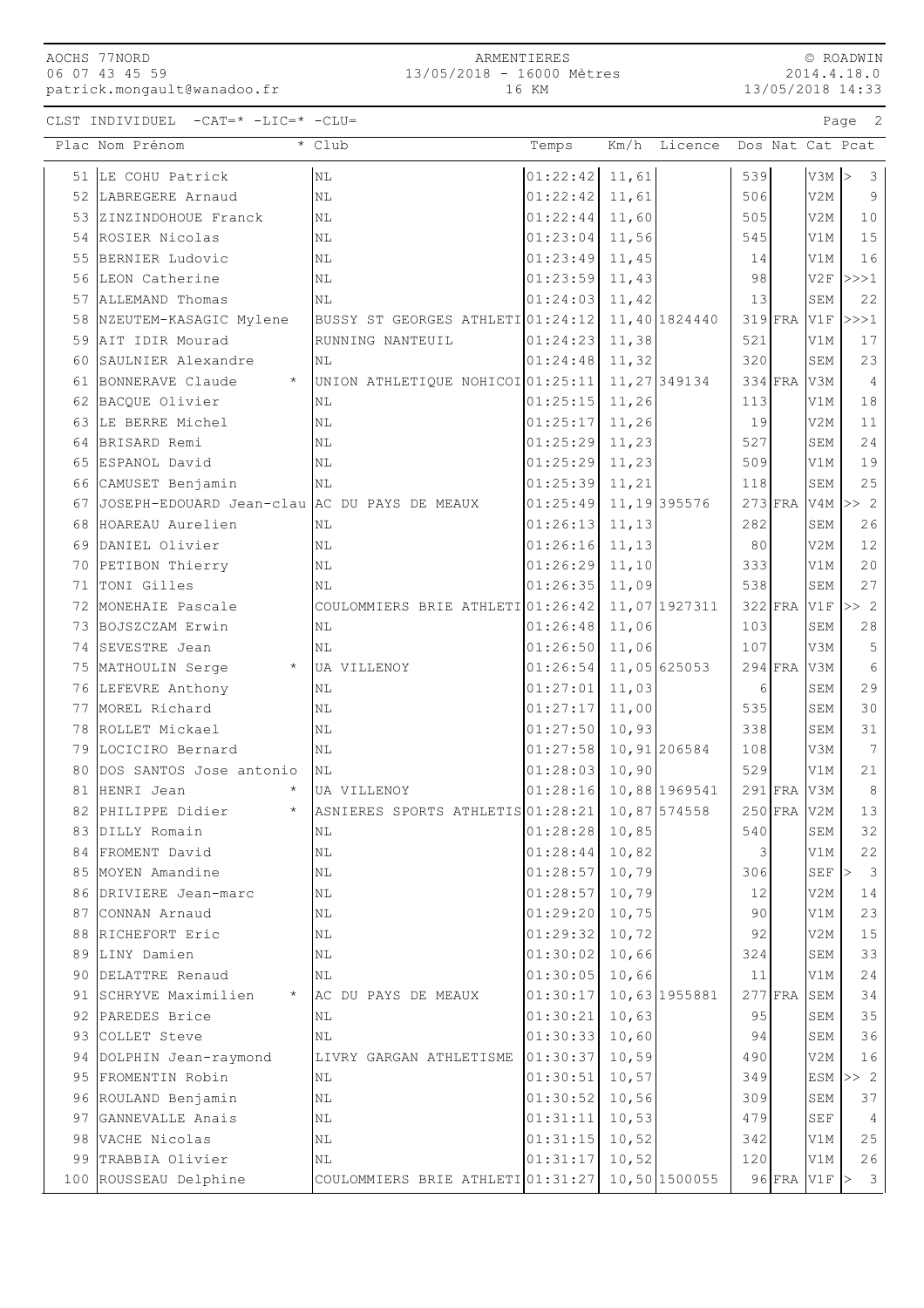ARMENTIERES 13/05/2018 - 16000 Mètres 16 KM

© ROADWIN 2014.4.18.0 13/05/2018 14:33

CLST INDIVIDUEL -CAT=\* -LIC=\* -CLU= Page 2

|    | Plac Nom Prénom                                 | * Club                                            | Temps                    |       | Km/h Licence Dos Nat Cat Pcat |     |               |                  |                                          |
|----|-------------------------------------------------|---------------------------------------------------|--------------------------|-------|-------------------------------|-----|---------------|------------------|------------------------------------------|
|    | 51 LE COHU Patrick                              | N <sub>L</sub>                                    | $01:22:42$ 11,61         |       |                               | 539 |               | $V3M$ >          | $\mathcal{S}$                            |
|    | 52 LABREGERE Arnaud                             | NL                                                | 01:22:42                 | 11,61 |                               | 506 |               | V2M              | 9                                        |
|    | 53 ZINZINDOHOUE Franck                          | ΝL                                                | 01:22:44                 | 11,60 |                               | 505 |               | V2M              | 10                                       |
|    | 54 ROSIER Nicolas                               | ΝL                                                | 01:23:04                 | 11,56 |                               | 545 |               | V1M              | 15                                       |
|    | 55 BERNIER Ludovic                              | $\rm NL$                                          | $01:23:49$ 11,45         |       |                               | 14  |               | V1M              | 16                                       |
|    | 56 LEON Catherine                               | NL                                                | $01:23:59$ 11,43         |       |                               | 98  |               |                  | $V2F$ $>>$ 1                             |
|    | 57 ALLEMAND Thomas                              | N <sub>L</sub>                                    | 01:24:03                 | 11,42 |                               | 13  |               | SEM              | 22                                       |
|    | 58 NZEUTEM-KASAGIC Mylene                       | BUSSY ST GEORGES ATHLETI 01:24:12                 |                          |       | 11,40 1824440                 |     | $319$ FRA     | V1F              | >>>1                                     |
|    | 59 AIT IDIR Mourad                              | RUNNING NANTEUIL                                  | 01:24:23                 | 11,38 |                               | 521 |               | V1M              | 17                                       |
| 60 | SAULNIER Alexandre                              | NL                                                | 01:24:48                 | 11,32 |                               | 320 |               | SEM              | 23                                       |
| 61 | BONNERAVE Claude                                | UNION ATHLETIQUE NOHICOI 01:25:11                 |                          |       | 11, 27 349134                 |     | $334$ FRA     | V3M              | $\overline{4}$                           |
| 62 | BACQUE Olivier                                  | ΝL                                                | 01:25:15                 | 11,26 |                               | 113 |               | V1M              | 18                                       |
|    | 63 LE BERRE Michel                              | ΝL                                                | 01:25:17                 | 11,26 |                               | 19  |               | V2M              | 11                                       |
|    | 64 BRISARD Remi                                 | N <sub>L</sub>                                    | 01:25:29                 | 11,23 |                               | 527 |               | SEM              | 24                                       |
|    | 65 ESPANOL David                                | NL                                                | $01:25:29$ 11,23         |       |                               | 509 |               | V1M              | 19                                       |
|    | 66 CAMUSET Benjamin                             | <b>NL</b>                                         | 01:25:39                 | 11,21 |                               | 118 |               | SEM              | 25                                       |
|    | 67 JOSEPH-EDOUARD Jean-clau AC DU PAYS DE MEAUX |                                                   | 01:25:49                 |       | 11, 19 395576                 |     | $273$ FRA     |                  | $V4M \gg 2$                              |
| 68 | HOAREAU Aurelien                                | NL                                                | 01:26:13                 | 11,13 |                               | 282 |               | SEM              | 26                                       |
|    | 69 DANIEL Olivier                               | NL                                                | 01:26:16                 | 11,13 |                               | 80  |               | V2M              | 12                                       |
|    | 70 PETIBON Thierry                              | $\rm NL$                                          | $01:26:29$ 11,10         |       |                               | 333 |               | V1M              | 20                                       |
| 71 | TONI Gilles                                     | ΝL                                                | 01:26:35                 | 11,09 |                               | 538 |               | SEM              | 27                                       |
|    | 72 MONEHAIE Pascale                             | COULOMMIERS BRIE ATHLETI 01:26:42                 |                          |       | 11,07 1927311                 |     | 322 FRA V1F   |                  | >> 2                                     |
|    | 73 BOJSZCZAM Erwin                              | NL                                                | 01:26:48                 | 11,06 |                               | 103 |               | SEM              | 28                                       |
|    | 74 SEVESTRE Jean                                | NL                                                | 01:26:50                 | 11,06 |                               | 107 |               | V3M              | 5                                        |
|    | 75 MATHOULIN Serge                              | * UA VILLENOY                                     | $01:26:54$ 11,05 625053  |       |                               |     | $294$ FRA     | V3M              | 6                                        |
|    | 76 LEFEVRE Anthony                              | ΝL                                                | 01:27:01                 | 11,03 |                               | 6   |               | SEM              | 29                                       |
|    | 77 MOREL Richard                                | ΝL                                                | 01:27:17                 | 11,00 |                               | 535 |               | SEM              | 30                                       |
|    | 78 ROLLET Mickael                               | ΝL                                                | 01:27:50                 | 10,93 |                               | 338 |               | SEM              | 31                                       |
|    | 79 LOCICIRO Bernard                             | NL                                                | $01:27:58$ 10, 91 206584 |       |                               | 108 |               | V3M              | $7\overline{ }$                          |
| 80 | DOS SANTOS Jose antonio                         | NL                                                | 01:28:03                 | 10,90 |                               | 529 |               | V1M              | 21                                       |
| 81 | HENRI Jean                                      | UA VILLENOY                                       | $01:28:16$ 10,88 1969541 |       |                               |     | $291$ FRA     | V3M              | 8                                        |
|    | 82 PHILIPPE Didier<br>$\star$                   | ASNIERES SPORTS ATHLETIS 01:28:21 10,87 574558    |                          |       |                               |     | $250$ FRA V2M |                  | 13                                       |
|    | 83 DILLY Romain                                 | NL                                                | $01:28:28$ 10,85         |       |                               | 540 |               | SEM              | 32                                       |
|    | 84 FROMENT David                                | ΝL                                                | 01:28:44                 | 10,82 |                               | 3   |               | V1M              | 22                                       |
|    | 85 MOYEN Amandine                               | NL                                                | 01:28:57                 | 10,79 |                               | 306 |               | SEF              | $\overline{\mathbf{3}}$<br>$\rightarrow$ |
|    | 86 DRIVIERE Jean-marc                           | NL                                                | 01:28:57                 | 10,79 |                               | 12  |               | V2M              | 14                                       |
|    | 87 CONNAN Arnaud                                | NL                                                | 01:29:20                 | 10,75 |                               | 90  |               | V1M              | 23                                       |
|    | 88 RICHEFORT Eric                               | NL                                                | 01:29:32                 | 10,72 |                               | 92  |               | V2M              | 15                                       |
|    | 89 LINY Damien                                  | NL                                                | 01:30:02                 | 10,66 |                               | 324 |               | SEM              | 33                                       |
|    | 90 DELATTRE Renaud                              | NL                                                | $01:30:05$ 10,66         |       |                               | 11  |               | V1M              | 24                                       |
|    | 91 SCHRYVE Maximilien                           | AC DU PAYS DE MEAUX                               | 01:30:17                 |       | 10,63 1955881                 |     | $277$ FRA     | SEM              | 34                                       |
|    | 92 PAREDES Brice                                | ΝL                                                | 01:30:21                 | 10,63 |                               | 95  |               | SEM              | 35                                       |
|    | 93 COLLET Steve                                 | NL                                                | 01:30:33                 | 10,60 |                               | 94  |               | SEM              | 36                                       |
|    | 94 DOLPHIN Jean-raymond                         | LIVRY GARGAN ATHLETISME                           | 01:30:37                 | 10,59 |                               | 490 |               | V2M              | 16                                       |
| 95 | FROMENTIN Robin                                 | ΝL                                                | 01:30:51                 | 10,57 |                               | 349 |               |                  | $ESM \gg 2$                              |
|    | 96 ROULAND Benjamin                             | ΝL                                                | 01:30:52                 | 10,56 |                               | 309 |               | SEM              | 37                                       |
|    | 97 GANNEVALLE Anais                             | ΝL                                                | 01:31:11                 | 10,53 |                               | 479 |               | SEF              | $\overline{4}$                           |
|    | 98 VACHE Nicolas                                | $\rm NL$                                          | 01:31:15                 | 10,52 |                               | 342 |               | V1M              | 25                                       |
|    | 99 TRABBIA Olivier                              | ΝL                                                | 01:31:17                 | 10,52 |                               | 120 |               | V1M              | 26                                       |
|    | 100 ROUSSEAU Delphine                           | COULOMMIERS BRIE ATHLETI $01:31:27$ 10,50 1500055 |                          |       |                               |     |               | $96$ FRA V1F $>$ | $\overline{\mathbf{3}}$                  |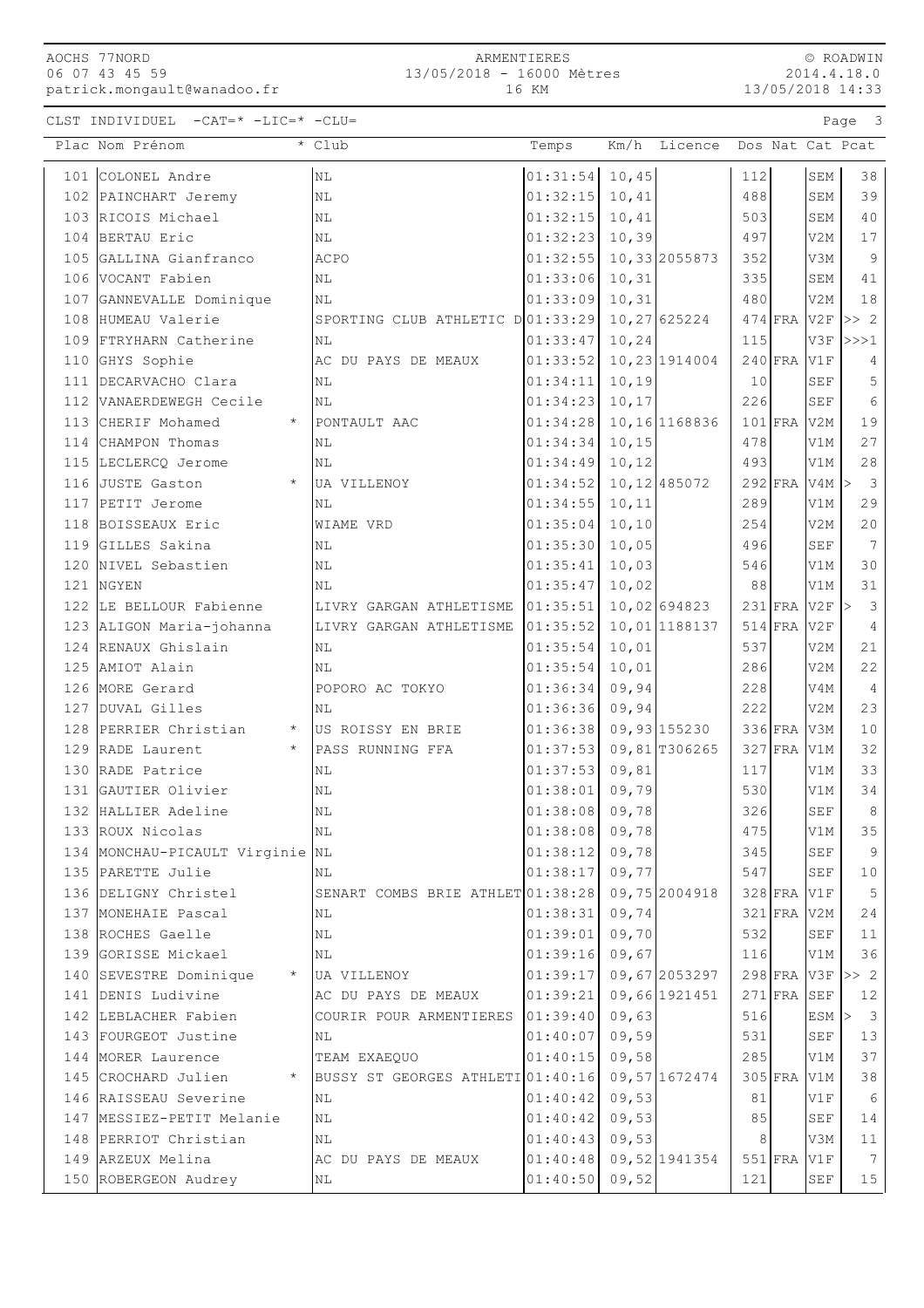ARMENTIERES 13/05/2018 - 16000 Mètres 16 KM

© ROADWIN 2014.4.18.0 13/05/2018 14:33

CLST INDIVIDUEL -CAT=\* -LIC=\* -CLU= Page 3

| 101 COLONEL Andre<br>$01:31:54$ 10,45<br>N <sub>L</sub><br>112<br>SEM<br>38<br>39<br>102 PAINCHART Jeremy<br>N <sub>L</sub><br>01:32:15<br>10,41<br>488<br>SEM<br>103 RICOIS Michael<br>10,41<br>40<br>01:32:15<br>503<br>NL<br>SEM<br>104 BERTAU Eric<br>$01:32:23$ 10,39<br>497<br>V2M<br>17<br>NL<br>$\overline{9}$<br>105 GALLINA Gianfranco<br><b>ACPO</b><br>01:32:55<br>10,33 2055873<br>352<br>V3M<br>106 VOCANT Fabien<br>01:33:06<br>10, 31<br>335<br>SEM<br>41<br>N <sub>L</sub><br>10, 31<br>18<br>107 GANNEVALLE Dominique<br>01:33:09<br>480<br>V2M<br>N <sub>L</sub><br>108 HUMEAU Valerie<br>SPORTING CLUB ATHLETIC D01:33:29<br>10,27 625224<br>$474$ FRA V2F<br>>> 2<br>109 FTRYHARN Catherine<br>01:33:47<br>10, 24<br>115<br>V3F<br><b>NL</b><br>>>>1<br>10,23 1914004<br>110 GHYS Sophie<br>AC DU PAYS DE MEAUX<br>01:33:52<br>$240$ FRA V1F<br>4<br>01:34:11<br>10, 19<br>SEF<br>5<br>111 DECARVACHO Clara<br>10<br><b>NL</b><br>10, 17<br>226<br>SEF<br>6<br>112 VANAERDEWEGH Cecile<br>01:34:23<br>NL<br>10,16 1168836<br>$101$ FRA<br>19<br>113 CHERIF Mohamed<br>01:34:28<br>V2M<br>$\star$<br>PONTAULT AAC<br>10, 15<br>27<br>114 CHAMPON Thomas<br>01:34:34<br>478<br>V1M<br>ΝL<br>115 LECLERCQ Jerome<br>01:34:49<br>10, 12<br>493<br>V1M<br>28<br>NL<br>$\star$<br>01:34:52<br>10, 12 485072<br>$292$ FRA V4M $>$<br>$\overline{3}$<br>116 JUSTE Gaston<br>UA VILLENOY<br>10, 11<br>29<br>117 PETIT Jerome<br>NL<br>01:34:55<br>289<br>V1M<br>20<br>118 BOISSEAUX Eric<br>01:35:04<br>10, 10<br>254<br>V2M<br>WIAME VRD<br>7<br>119 GILLES Sakina<br>01:35:30<br>10,05<br>496<br><b>SEF</b><br>ΝL<br>30<br>120 NIVEL Sebastien<br>01:35:41<br>10,03<br>546<br>V1M<br>N <sub>L</sub><br>121 NGYEN<br>01:35:47<br>10,02<br>88<br>31<br><b>NL</b><br>V1M<br>122 LE BELLOUR Fabienne<br>10,02 694823<br>$231$ FRA V2F<br>LIVRY GARGAN ATHLETISME 01:35:51<br>$\overline{\mathbf{3}}$<br>⊳<br>10,01 1188137<br>123 ALIGON Maria-johanna<br>LIVRY GARGAN ATHLETISME<br> 01:35:52 <br>514 FRA V2F<br>$\overline{4}$<br>10,01<br>124 RENAUX Ghislain<br>01:35:54<br>537<br>21<br>V2M<br>ΝL<br>22<br>125 AMIOT Alain<br>01:35:54<br>10,01<br>286<br>V2M<br>ΝL<br>09,94<br>126 MORE Gerard<br>POPORO AC TOKYO<br>01:36:34<br>228<br>V4M<br>$\overline{4}$<br>222<br>23<br>127 DUVAL Gilles<br>01:36:36<br>09,94<br>V <sub>2</sub> M<br>NL<br>$336$ FRA<br>128 PERRIER Christian * US ROISSY EN BRIE<br>$01:36:38$ 09,93 155230<br>10<br>V3M<br>129 RADE Laurent<br>$\star$<br>$01:37:53$ 09,81 T306265<br>$327$ FRA<br>32<br>PASS RUNNING FFA<br>V1M<br>130 RADE Patrice<br>01:37:53<br>09,81<br>117<br>33<br>NL<br>V1M<br>09,79<br>131 GAUTIER Olivier<br>01:38:01<br>530<br>34<br>NL<br>V1M<br>$01:38:08$ 09,78<br>$8\,$<br>132 HALLIER Adeline<br>326<br><b>SEF</b><br>NL<br>$01:38:08$ 09,78<br>475<br>V1M<br>35<br>133 ROUX Nicolas<br>N <sub>L</sub><br>09,78<br>9<br>134 MONCHAU-PICAULT Virginie<br>01:38:12<br>345<br><b>SEF</b><br>NL<br>135 PARETTE Julie<br>01:38:17<br>09,77<br>547<br>SEF<br>10<br>ΝL<br>136 DELIGNY Christel<br>SENART COMBS BRIE ATHLET 01:38:28<br>09,75 2004918<br>5<br>$328$ FRA<br>V1F<br>01:38:31<br>09,74<br>137 MONEHAIE Pascal<br>321 FRA V2M<br>24<br>ΝL<br>138 ROCHES Gaelle<br>01:39:01<br>09,70<br>532<br>ΝL<br><b>SEF</b><br>11<br>09,67<br>139 GORISSE Mickael<br>01:39:16<br>36<br>ΝL<br>116<br>V1M<br>140 SEVESTRE Dominique<br>09,67 2053297<br>$298$ FRA V3F<br>$\star$<br>01:39:17<br>>> 2<br>UA VILLENOY<br>141 DENIS Ludivine<br>01:39:21<br>09,66 1921451<br>$271$ FRA<br>SEF<br>AC DU PAYS DE MEAUX<br>12<br>09,63<br>$\overline{\mathbf{3}}$<br>142 LEBLACHER Fabien<br>COURIR POUR ARMENTIERES<br>01:39:40<br>516<br>ESM<br>⊳<br>09,59<br>13<br>143 FOURGEOT Justine<br>01:40:07<br>531<br><b>SEF</b><br>ΝL<br>285<br>37<br>144 MORER Laurence<br>01:40:15<br>09,58<br>TEAM EXAEQUO<br>V1M<br>145 CROCHARD Julien<br>09,57 1672474<br>$305$ FRA<br>BUSSY ST GEORGES ATHLETI 01:40:16<br>V1M<br>38<br>146 RAISSEAU Severine<br>01:40:42<br>09,53<br>81<br>V1F<br>6<br>NL<br>147 MESSIEZ-PETIT Melanie<br>09,53<br>NL<br>01:40:42<br>85<br><b>SEF</b><br>14<br>148 PERRIOT Christian<br>09,53<br>01:40:43<br>8<br>11<br>ΝL<br>V3M<br>149 ARZEUX Melina<br>01:40:48<br>09,52 1941354<br>$551$ FRA<br>$7\overline{ }$<br>V1F<br>AC DU PAYS DE MEAUX<br>01:40:50<br>09,52<br>121<br>15<br>150 ROBERGEON Audrey<br>SEF<br>ΝL | Plac Nom Prénom | * Club | Temps | Km/h Licence |  | Dos Nat Cat Pcat |
|-----------------------------------------------------------------------------------------------------------------------------------------------------------------------------------------------------------------------------------------------------------------------------------------------------------------------------------------------------------------------------------------------------------------------------------------------------------------------------------------------------------------------------------------------------------------------------------------------------------------------------------------------------------------------------------------------------------------------------------------------------------------------------------------------------------------------------------------------------------------------------------------------------------------------------------------------------------------------------------------------------------------------------------------------------------------------------------------------------------------------------------------------------------------------------------------------------------------------------------------------------------------------------------------------------------------------------------------------------------------------------------------------------------------------------------------------------------------------------------------------------------------------------------------------------------------------------------------------------------------------------------------------------------------------------------------------------------------------------------------------------------------------------------------------------------------------------------------------------------------------------------------------------------------------------------------------------------------------------------------------------------------------------------------------------------------------------------------------------------------------------------------------------------------------------------------------------------------------------------------------------------------------------------------------------------------------------------------------------------------------------------------------------------------------------------------------------------------------------------------------------------------------------------------------------------------------------------------------------------------------------------------------------------------------------------------------------------------------------------------------------------------------------------------------------------------------------------------------------------------------------------------------------------------------------------------------------------------------------------------------------------------------------------------------------------------------------------------------------------------------------------------------------------------------------------------------------------------------------------------------------------------------------------------------------------------------------------------------------------------------------------------------------------------------------------------------------------------------------------------------------------------------------------------------------------------------------------------------------------------------------------------------------------------------------------------------------------------------------------------------------------------------------------------------------------------------------------------------------------------------------------------------------------------------------------------------------------------------------------------------------------------------------------------------------------------------------------------------------------------------------------------------------------------------------------------------------------------------------------------------------------------------------------------------------------------------------------------------------------------------------------------------------|-----------------|--------|-------|--------------|--|------------------|
|                                                                                                                                                                                                                                                                                                                                                                                                                                                                                                                                                                                                                                                                                                                                                                                                                                                                                                                                                                                                                                                                                                                                                                                                                                                                                                                                                                                                                                                                                                                                                                                                                                                                                                                                                                                                                                                                                                                                                                                                                                                                                                                                                                                                                                                                                                                                                                                                                                                                                                                                                                                                                                                                                                                                                                                                                                                                                                                                                                                                                                                                                                                                                                                                                                                                                                                                                                                                                                                                                                                                                                                                                                                                                                                                                                                                                                                                                                                                                                                                                                                                                                                                                                                                                                                                                                                                                                                                     |                 |        |       |              |  |                  |
|                                                                                                                                                                                                                                                                                                                                                                                                                                                                                                                                                                                                                                                                                                                                                                                                                                                                                                                                                                                                                                                                                                                                                                                                                                                                                                                                                                                                                                                                                                                                                                                                                                                                                                                                                                                                                                                                                                                                                                                                                                                                                                                                                                                                                                                                                                                                                                                                                                                                                                                                                                                                                                                                                                                                                                                                                                                                                                                                                                                                                                                                                                                                                                                                                                                                                                                                                                                                                                                                                                                                                                                                                                                                                                                                                                                                                                                                                                                                                                                                                                                                                                                                                                                                                                                                                                                                                                                                     |                 |        |       |              |  |                  |
|                                                                                                                                                                                                                                                                                                                                                                                                                                                                                                                                                                                                                                                                                                                                                                                                                                                                                                                                                                                                                                                                                                                                                                                                                                                                                                                                                                                                                                                                                                                                                                                                                                                                                                                                                                                                                                                                                                                                                                                                                                                                                                                                                                                                                                                                                                                                                                                                                                                                                                                                                                                                                                                                                                                                                                                                                                                                                                                                                                                                                                                                                                                                                                                                                                                                                                                                                                                                                                                                                                                                                                                                                                                                                                                                                                                                                                                                                                                                                                                                                                                                                                                                                                                                                                                                                                                                                                                                     |                 |        |       |              |  |                  |
|                                                                                                                                                                                                                                                                                                                                                                                                                                                                                                                                                                                                                                                                                                                                                                                                                                                                                                                                                                                                                                                                                                                                                                                                                                                                                                                                                                                                                                                                                                                                                                                                                                                                                                                                                                                                                                                                                                                                                                                                                                                                                                                                                                                                                                                                                                                                                                                                                                                                                                                                                                                                                                                                                                                                                                                                                                                                                                                                                                                                                                                                                                                                                                                                                                                                                                                                                                                                                                                                                                                                                                                                                                                                                                                                                                                                                                                                                                                                                                                                                                                                                                                                                                                                                                                                                                                                                                                                     |                 |        |       |              |  |                  |
|                                                                                                                                                                                                                                                                                                                                                                                                                                                                                                                                                                                                                                                                                                                                                                                                                                                                                                                                                                                                                                                                                                                                                                                                                                                                                                                                                                                                                                                                                                                                                                                                                                                                                                                                                                                                                                                                                                                                                                                                                                                                                                                                                                                                                                                                                                                                                                                                                                                                                                                                                                                                                                                                                                                                                                                                                                                                                                                                                                                                                                                                                                                                                                                                                                                                                                                                                                                                                                                                                                                                                                                                                                                                                                                                                                                                                                                                                                                                                                                                                                                                                                                                                                                                                                                                                                                                                                                                     |                 |        |       |              |  |                  |
|                                                                                                                                                                                                                                                                                                                                                                                                                                                                                                                                                                                                                                                                                                                                                                                                                                                                                                                                                                                                                                                                                                                                                                                                                                                                                                                                                                                                                                                                                                                                                                                                                                                                                                                                                                                                                                                                                                                                                                                                                                                                                                                                                                                                                                                                                                                                                                                                                                                                                                                                                                                                                                                                                                                                                                                                                                                                                                                                                                                                                                                                                                                                                                                                                                                                                                                                                                                                                                                                                                                                                                                                                                                                                                                                                                                                                                                                                                                                                                                                                                                                                                                                                                                                                                                                                                                                                                                                     |                 |        |       |              |  |                  |
|                                                                                                                                                                                                                                                                                                                                                                                                                                                                                                                                                                                                                                                                                                                                                                                                                                                                                                                                                                                                                                                                                                                                                                                                                                                                                                                                                                                                                                                                                                                                                                                                                                                                                                                                                                                                                                                                                                                                                                                                                                                                                                                                                                                                                                                                                                                                                                                                                                                                                                                                                                                                                                                                                                                                                                                                                                                                                                                                                                                                                                                                                                                                                                                                                                                                                                                                                                                                                                                                                                                                                                                                                                                                                                                                                                                                                                                                                                                                                                                                                                                                                                                                                                                                                                                                                                                                                                                                     |                 |        |       |              |  |                  |
|                                                                                                                                                                                                                                                                                                                                                                                                                                                                                                                                                                                                                                                                                                                                                                                                                                                                                                                                                                                                                                                                                                                                                                                                                                                                                                                                                                                                                                                                                                                                                                                                                                                                                                                                                                                                                                                                                                                                                                                                                                                                                                                                                                                                                                                                                                                                                                                                                                                                                                                                                                                                                                                                                                                                                                                                                                                                                                                                                                                                                                                                                                                                                                                                                                                                                                                                                                                                                                                                                                                                                                                                                                                                                                                                                                                                                                                                                                                                                                                                                                                                                                                                                                                                                                                                                                                                                                                                     |                 |        |       |              |  |                  |
|                                                                                                                                                                                                                                                                                                                                                                                                                                                                                                                                                                                                                                                                                                                                                                                                                                                                                                                                                                                                                                                                                                                                                                                                                                                                                                                                                                                                                                                                                                                                                                                                                                                                                                                                                                                                                                                                                                                                                                                                                                                                                                                                                                                                                                                                                                                                                                                                                                                                                                                                                                                                                                                                                                                                                                                                                                                                                                                                                                                                                                                                                                                                                                                                                                                                                                                                                                                                                                                                                                                                                                                                                                                                                                                                                                                                                                                                                                                                                                                                                                                                                                                                                                                                                                                                                                                                                                                                     |                 |        |       |              |  |                  |
|                                                                                                                                                                                                                                                                                                                                                                                                                                                                                                                                                                                                                                                                                                                                                                                                                                                                                                                                                                                                                                                                                                                                                                                                                                                                                                                                                                                                                                                                                                                                                                                                                                                                                                                                                                                                                                                                                                                                                                                                                                                                                                                                                                                                                                                                                                                                                                                                                                                                                                                                                                                                                                                                                                                                                                                                                                                                                                                                                                                                                                                                                                                                                                                                                                                                                                                                                                                                                                                                                                                                                                                                                                                                                                                                                                                                                                                                                                                                                                                                                                                                                                                                                                                                                                                                                                                                                                                                     |                 |        |       |              |  |                  |
|                                                                                                                                                                                                                                                                                                                                                                                                                                                                                                                                                                                                                                                                                                                                                                                                                                                                                                                                                                                                                                                                                                                                                                                                                                                                                                                                                                                                                                                                                                                                                                                                                                                                                                                                                                                                                                                                                                                                                                                                                                                                                                                                                                                                                                                                                                                                                                                                                                                                                                                                                                                                                                                                                                                                                                                                                                                                                                                                                                                                                                                                                                                                                                                                                                                                                                                                                                                                                                                                                                                                                                                                                                                                                                                                                                                                                                                                                                                                                                                                                                                                                                                                                                                                                                                                                                                                                                                                     |                 |        |       |              |  |                  |
|                                                                                                                                                                                                                                                                                                                                                                                                                                                                                                                                                                                                                                                                                                                                                                                                                                                                                                                                                                                                                                                                                                                                                                                                                                                                                                                                                                                                                                                                                                                                                                                                                                                                                                                                                                                                                                                                                                                                                                                                                                                                                                                                                                                                                                                                                                                                                                                                                                                                                                                                                                                                                                                                                                                                                                                                                                                                                                                                                                                                                                                                                                                                                                                                                                                                                                                                                                                                                                                                                                                                                                                                                                                                                                                                                                                                                                                                                                                                                                                                                                                                                                                                                                                                                                                                                                                                                                                                     |                 |        |       |              |  |                  |
|                                                                                                                                                                                                                                                                                                                                                                                                                                                                                                                                                                                                                                                                                                                                                                                                                                                                                                                                                                                                                                                                                                                                                                                                                                                                                                                                                                                                                                                                                                                                                                                                                                                                                                                                                                                                                                                                                                                                                                                                                                                                                                                                                                                                                                                                                                                                                                                                                                                                                                                                                                                                                                                                                                                                                                                                                                                                                                                                                                                                                                                                                                                                                                                                                                                                                                                                                                                                                                                                                                                                                                                                                                                                                                                                                                                                                                                                                                                                                                                                                                                                                                                                                                                                                                                                                                                                                                                                     |                 |        |       |              |  |                  |
|                                                                                                                                                                                                                                                                                                                                                                                                                                                                                                                                                                                                                                                                                                                                                                                                                                                                                                                                                                                                                                                                                                                                                                                                                                                                                                                                                                                                                                                                                                                                                                                                                                                                                                                                                                                                                                                                                                                                                                                                                                                                                                                                                                                                                                                                                                                                                                                                                                                                                                                                                                                                                                                                                                                                                                                                                                                                                                                                                                                                                                                                                                                                                                                                                                                                                                                                                                                                                                                                                                                                                                                                                                                                                                                                                                                                                                                                                                                                                                                                                                                                                                                                                                                                                                                                                                                                                                                                     |                 |        |       |              |  |                  |
|                                                                                                                                                                                                                                                                                                                                                                                                                                                                                                                                                                                                                                                                                                                                                                                                                                                                                                                                                                                                                                                                                                                                                                                                                                                                                                                                                                                                                                                                                                                                                                                                                                                                                                                                                                                                                                                                                                                                                                                                                                                                                                                                                                                                                                                                                                                                                                                                                                                                                                                                                                                                                                                                                                                                                                                                                                                                                                                                                                                                                                                                                                                                                                                                                                                                                                                                                                                                                                                                                                                                                                                                                                                                                                                                                                                                                                                                                                                                                                                                                                                                                                                                                                                                                                                                                                                                                                                                     |                 |        |       |              |  |                  |
|                                                                                                                                                                                                                                                                                                                                                                                                                                                                                                                                                                                                                                                                                                                                                                                                                                                                                                                                                                                                                                                                                                                                                                                                                                                                                                                                                                                                                                                                                                                                                                                                                                                                                                                                                                                                                                                                                                                                                                                                                                                                                                                                                                                                                                                                                                                                                                                                                                                                                                                                                                                                                                                                                                                                                                                                                                                                                                                                                                                                                                                                                                                                                                                                                                                                                                                                                                                                                                                                                                                                                                                                                                                                                                                                                                                                                                                                                                                                                                                                                                                                                                                                                                                                                                                                                                                                                                                                     |                 |        |       |              |  |                  |
|                                                                                                                                                                                                                                                                                                                                                                                                                                                                                                                                                                                                                                                                                                                                                                                                                                                                                                                                                                                                                                                                                                                                                                                                                                                                                                                                                                                                                                                                                                                                                                                                                                                                                                                                                                                                                                                                                                                                                                                                                                                                                                                                                                                                                                                                                                                                                                                                                                                                                                                                                                                                                                                                                                                                                                                                                                                                                                                                                                                                                                                                                                                                                                                                                                                                                                                                                                                                                                                                                                                                                                                                                                                                                                                                                                                                                                                                                                                                                                                                                                                                                                                                                                                                                                                                                                                                                                                                     |                 |        |       |              |  |                  |
|                                                                                                                                                                                                                                                                                                                                                                                                                                                                                                                                                                                                                                                                                                                                                                                                                                                                                                                                                                                                                                                                                                                                                                                                                                                                                                                                                                                                                                                                                                                                                                                                                                                                                                                                                                                                                                                                                                                                                                                                                                                                                                                                                                                                                                                                                                                                                                                                                                                                                                                                                                                                                                                                                                                                                                                                                                                                                                                                                                                                                                                                                                                                                                                                                                                                                                                                                                                                                                                                                                                                                                                                                                                                                                                                                                                                                                                                                                                                                                                                                                                                                                                                                                                                                                                                                                                                                                                                     |                 |        |       |              |  |                  |
|                                                                                                                                                                                                                                                                                                                                                                                                                                                                                                                                                                                                                                                                                                                                                                                                                                                                                                                                                                                                                                                                                                                                                                                                                                                                                                                                                                                                                                                                                                                                                                                                                                                                                                                                                                                                                                                                                                                                                                                                                                                                                                                                                                                                                                                                                                                                                                                                                                                                                                                                                                                                                                                                                                                                                                                                                                                                                                                                                                                                                                                                                                                                                                                                                                                                                                                                                                                                                                                                                                                                                                                                                                                                                                                                                                                                                                                                                                                                                                                                                                                                                                                                                                                                                                                                                                                                                                                                     |                 |        |       |              |  |                  |
|                                                                                                                                                                                                                                                                                                                                                                                                                                                                                                                                                                                                                                                                                                                                                                                                                                                                                                                                                                                                                                                                                                                                                                                                                                                                                                                                                                                                                                                                                                                                                                                                                                                                                                                                                                                                                                                                                                                                                                                                                                                                                                                                                                                                                                                                                                                                                                                                                                                                                                                                                                                                                                                                                                                                                                                                                                                                                                                                                                                                                                                                                                                                                                                                                                                                                                                                                                                                                                                                                                                                                                                                                                                                                                                                                                                                                                                                                                                                                                                                                                                                                                                                                                                                                                                                                                                                                                                                     |                 |        |       |              |  |                  |
|                                                                                                                                                                                                                                                                                                                                                                                                                                                                                                                                                                                                                                                                                                                                                                                                                                                                                                                                                                                                                                                                                                                                                                                                                                                                                                                                                                                                                                                                                                                                                                                                                                                                                                                                                                                                                                                                                                                                                                                                                                                                                                                                                                                                                                                                                                                                                                                                                                                                                                                                                                                                                                                                                                                                                                                                                                                                                                                                                                                                                                                                                                                                                                                                                                                                                                                                                                                                                                                                                                                                                                                                                                                                                                                                                                                                                                                                                                                                                                                                                                                                                                                                                                                                                                                                                                                                                                                                     |                 |        |       |              |  |                  |
|                                                                                                                                                                                                                                                                                                                                                                                                                                                                                                                                                                                                                                                                                                                                                                                                                                                                                                                                                                                                                                                                                                                                                                                                                                                                                                                                                                                                                                                                                                                                                                                                                                                                                                                                                                                                                                                                                                                                                                                                                                                                                                                                                                                                                                                                                                                                                                                                                                                                                                                                                                                                                                                                                                                                                                                                                                                                                                                                                                                                                                                                                                                                                                                                                                                                                                                                                                                                                                                                                                                                                                                                                                                                                                                                                                                                                                                                                                                                                                                                                                                                                                                                                                                                                                                                                                                                                                                                     |                 |        |       |              |  |                  |
|                                                                                                                                                                                                                                                                                                                                                                                                                                                                                                                                                                                                                                                                                                                                                                                                                                                                                                                                                                                                                                                                                                                                                                                                                                                                                                                                                                                                                                                                                                                                                                                                                                                                                                                                                                                                                                                                                                                                                                                                                                                                                                                                                                                                                                                                                                                                                                                                                                                                                                                                                                                                                                                                                                                                                                                                                                                                                                                                                                                                                                                                                                                                                                                                                                                                                                                                                                                                                                                                                                                                                                                                                                                                                                                                                                                                                                                                                                                                                                                                                                                                                                                                                                                                                                                                                                                                                                                                     |                 |        |       |              |  |                  |
|                                                                                                                                                                                                                                                                                                                                                                                                                                                                                                                                                                                                                                                                                                                                                                                                                                                                                                                                                                                                                                                                                                                                                                                                                                                                                                                                                                                                                                                                                                                                                                                                                                                                                                                                                                                                                                                                                                                                                                                                                                                                                                                                                                                                                                                                                                                                                                                                                                                                                                                                                                                                                                                                                                                                                                                                                                                                                                                                                                                                                                                                                                                                                                                                                                                                                                                                                                                                                                                                                                                                                                                                                                                                                                                                                                                                                                                                                                                                                                                                                                                                                                                                                                                                                                                                                                                                                                                                     |                 |        |       |              |  |                  |
|                                                                                                                                                                                                                                                                                                                                                                                                                                                                                                                                                                                                                                                                                                                                                                                                                                                                                                                                                                                                                                                                                                                                                                                                                                                                                                                                                                                                                                                                                                                                                                                                                                                                                                                                                                                                                                                                                                                                                                                                                                                                                                                                                                                                                                                                                                                                                                                                                                                                                                                                                                                                                                                                                                                                                                                                                                                                                                                                                                                                                                                                                                                                                                                                                                                                                                                                                                                                                                                                                                                                                                                                                                                                                                                                                                                                                                                                                                                                                                                                                                                                                                                                                                                                                                                                                                                                                                                                     |                 |        |       |              |  |                  |
|                                                                                                                                                                                                                                                                                                                                                                                                                                                                                                                                                                                                                                                                                                                                                                                                                                                                                                                                                                                                                                                                                                                                                                                                                                                                                                                                                                                                                                                                                                                                                                                                                                                                                                                                                                                                                                                                                                                                                                                                                                                                                                                                                                                                                                                                                                                                                                                                                                                                                                                                                                                                                                                                                                                                                                                                                                                                                                                                                                                                                                                                                                                                                                                                                                                                                                                                                                                                                                                                                                                                                                                                                                                                                                                                                                                                                                                                                                                                                                                                                                                                                                                                                                                                                                                                                                                                                                                                     |                 |        |       |              |  |                  |
|                                                                                                                                                                                                                                                                                                                                                                                                                                                                                                                                                                                                                                                                                                                                                                                                                                                                                                                                                                                                                                                                                                                                                                                                                                                                                                                                                                                                                                                                                                                                                                                                                                                                                                                                                                                                                                                                                                                                                                                                                                                                                                                                                                                                                                                                                                                                                                                                                                                                                                                                                                                                                                                                                                                                                                                                                                                                                                                                                                                                                                                                                                                                                                                                                                                                                                                                                                                                                                                                                                                                                                                                                                                                                                                                                                                                                                                                                                                                                                                                                                                                                                                                                                                                                                                                                                                                                                                                     |                 |        |       |              |  |                  |
|                                                                                                                                                                                                                                                                                                                                                                                                                                                                                                                                                                                                                                                                                                                                                                                                                                                                                                                                                                                                                                                                                                                                                                                                                                                                                                                                                                                                                                                                                                                                                                                                                                                                                                                                                                                                                                                                                                                                                                                                                                                                                                                                                                                                                                                                                                                                                                                                                                                                                                                                                                                                                                                                                                                                                                                                                                                                                                                                                                                                                                                                                                                                                                                                                                                                                                                                                                                                                                                                                                                                                                                                                                                                                                                                                                                                                                                                                                                                                                                                                                                                                                                                                                                                                                                                                                                                                                                                     |                 |        |       |              |  |                  |
|                                                                                                                                                                                                                                                                                                                                                                                                                                                                                                                                                                                                                                                                                                                                                                                                                                                                                                                                                                                                                                                                                                                                                                                                                                                                                                                                                                                                                                                                                                                                                                                                                                                                                                                                                                                                                                                                                                                                                                                                                                                                                                                                                                                                                                                                                                                                                                                                                                                                                                                                                                                                                                                                                                                                                                                                                                                                                                                                                                                                                                                                                                                                                                                                                                                                                                                                                                                                                                                                                                                                                                                                                                                                                                                                                                                                                                                                                                                                                                                                                                                                                                                                                                                                                                                                                                                                                                                                     |                 |        |       |              |  |                  |
|                                                                                                                                                                                                                                                                                                                                                                                                                                                                                                                                                                                                                                                                                                                                                                                                                                                                                                                                                                                                                                                                                                                                                                                                                                                                                                                                                                                                                                                                                                                                                                                                                                                                                                                                                                                                                                                                                                                                                                                                                                                                                                                                                                                                                                                                                                                                                                                                                                                                                                                                                                                                                                                                                                                                                                                                                                                                                                                                                                                                                                                                                                                                                                                                                                                                                                                                                                                                                                                                                                                                                                                                                                                                                                                                                                                                                                                                                                                                                                                                                                                                                                                                                                                                                                                                                                                                                                                                     |                 |        |       |              |  |                  |
|                                                                                                                                                                                                                                                                                                                                                                                                                                                                                                                                                                                                                                                                                                                                                                                                                                                                                                                                                                                                                                                                                                                                                                                                                                                                                                                                                                                                                                                                                                                                                                                                                                                                                                                                                                                                                                                                                                                                                                                                                                                                                                                                                                                                                                                                                                                                                                                                                                                                                                                                                                                                                                                                                                                                                                                                                                                                                                                                                                                                                                                                                                                                                                                                                                                                                                                                                                                                                                                                                                                                                                                                                                                                                                                                                                                                                                                                                                                                                                                                                                                                                                                                                                                                                                                                                                                                                                                                     |                 |        |       |              |  |                  |
|                                                                                                                                                                                                                                                                                                                                                                                                                                                                                                                                                                                                                                                                                                                                                                                                                                                                                                                                                                                                                                                                                                                                                                                                                                                                                                                                                                                                                                                                                                                                                                                                                                                                                                                                                                                                                                                                                                                                                                                                                                                                                                                                                                                                                                                                                                                                                                                                                                                                                                                                                                                                                                                                                                                                                                                                                                                                                                                                                                                                                                                                                                                                                                                                                                                                                                                                                                                                                                                                                                                                                                                                                                                                                                                                                                                                                                                                                                                                                                                                                                                                                                                                                                                                                                                                                                                                                                                                     |                 |        |       |              |  |                  |
|                                                                                                                                                                                                                                                                                                                                                                                                                                                                                                                                                                                                                                                                                                                                                                                                                                                                                                                                                                                                                                                                                                                                                                                                                                                                                                                                                                                                                                                                                                                                                                                                                                                                                                                                                                                                                                                                                                                                                                                                                                                                                                                                                                                                                                                                                                                                                                                                                                                                                                                                                                                                                                                                                                                                                                                                                                                                                                                                                                                                                                                                                                                                                                                                                                                                                                                                                                                                                                                                                                                                                                                                                                                                                                                                                                                                                                                                                                                                                                                                                                                                                                                                                                                                                                                                                                                                                                                                     |                 |        |       |              |  |                  |
|                                                                                                                                                                                                                                                                                                                                                                                                                                                                                                                                                                                                                                                                                                                                                                                                                                                                                                                                                                                                                                                                                                                                                                                                                                                                                                                                                                                                                                                                                                                                                                                                                                                                                                                                                                                                                                                                                                                                                                                                                                                                                                                                                                                                                                                                                                                                                                                                                                                                                                                                                                                                                                                                                                                                                                                                                                                                                                                                                                                                                                                                                                                                                                                                                                                                                                                                                                                                                                                                                                                                                                                                                                                                                                                                                                                                                                                                                                                                                                                                                                                                                                                                                                                                                                                                                                                                                                                                     |                 |        |       |              |  |                  |
|                                                                                                                                                                                                                                                                                                                                                                                                                                                                                                                                                                                                                                                                                                                                                                                                                                                                                                                                                                                                                                                                                                                                                                                                                                                                                                                                                                                                                                                                                                                                                                                                                                                                                                                                                                                                                                                                                                                                                                                                                                                                                                                                                                                                                                                                                                                                                                                                                                                                                                                                                                                                                                                                                                                                                                                                                                                                                                                                                                                                                                                                                                                                                                                                                                                                                                                                                                                                                                                                                                                                                                                                                                                                                                                                                                                                                                                                                                                                                                                                                                                                                                                                                                                                                                                                                                                                                                                                     |                 |        |       |              |  |                  |
|                                                                                                                                                                                                                                                                                                                                                                                                                                                                                                                                                                                                                                                                                                                                                                                                                                                                                                                                                                                                                                                                                                                                                                                                                                                                                                                                                                                                                                                                                                                                                                                                                                                                                                                                                                                                                                                                                                                                                                                                                                                                                                                                                                                                                                                                                                                                                                                                                                                                                                                                                                                                                                                                                                                                                                                                                                                                                                                                                                                                                                                                                                                                                                                                                                                                                                                                                                                                                                                                                                                                                                                                                                                                                                                                                                                                                                                                                                                                                                                                                                                                                                                                                                                                                                                                                                                                                                                                     |                 |        |       |              |  |                  |
|                                                                                                                                                                                                                                                                                                                                                                                                                                                                                                                                                                                                                                                                                                                                                                                                                                                                                                                                                                                                                                                                                                                                                                                                                                                                                                                                                                                                                                                                                                                                                                                                                                                                                                                                                                                                                                                                                                                                                                                                                                                                                                                                                                                                                                                                                                                                                                                                                                                                                                                                                                                                                                                                                                                                                                                                                                                                                                                                                                                                                                                                                                                                                                                                                                                                                                                                                                                                                                                                                                                                                                                                                                                                                                                                                                                                                                                                                                                                                                                                                                                                                                                                                                                                                                                                                                                                                                                                     |                 |        |       |              |  |                  |
|                                                                                                                                                                                                                                                                                                                                                                                                                                                                                                                                                                                                                                                                                                                                                                                                                                                                                                                                                                                                                                                                                                                                                                                                                                                                                                                                                                                                                                                                                                                                                                                                                                                                                                                                                                                                                                                                                                                                                                                                                                                                                                                                                                                                                                                                                                                                                                                                                                                                                                                                                                                                                                                                                                                                                                                                                                                                                                                                                                                                                                                                                                                                                                                                                                                                                                                                                                                                                                                                                                                                                                                                                                                                                                                                                                                                                                                                                                                                                                                                                                                                                                                                                                                                                                                                                                                                                                                                     |                 |        |       |              |  |                  |
|                                                                                                                                                                                                                                                                                                                                                                                                                                                                                                                                                                                                                                                                                                                                                                                                                                                                                                                                                                                                                                                                                                                                                                                                                                                                                                                                                                                                                                                                                                                                                                                                                                                                                                                                                                                                                                                                                                                                                                                                                                                                                                                                                                                                                                                                                                                                                                                                                                                                                                                                                                                                                                                                                                                                                                                                                                                                                                                                                                                                                                                                                                                                                                                                                                                                                                                                                                                                                                                                                                                                                                                                                                                                                                                                                                                                                                                                                                                                                                                                                                                                                                                                                                                                                                                                                                                                                                                                     |                 |        |       |              |  |                  |
|                                                                                                                                                                                                                                                                                                                                                                                                                                                                                                                                                                                                                                                                                                                                                                                                                                                                                                                                                                                                                                                                                                                                                                                                                                                                                                                                                                                                                                                                                                                                                                                                                                                                                                                                                                                                                                                                                                                                                                                                                                                                                                                                                                                                                                                                                                                                                                                                                                                                                                                                                                                                                                                                                                                                                                                                                                                                                                                                                                                                                                                                                                                                                                                                                                                                                                                                                                                                                                                                                                                                                                                                                                                                                                                                                                                                                                                                                                                                                                                                                                                                                                                                                                                                                                                                                                                                                                                                     |                 |        |       |              |  |                  |
|                                                                                                                                                                                                                                                                                                                                                                                                                                                                                                                                                                                                                                                                                                                                                                                                                                                                                                                                                                                                                                                                                                                                                                                                                                                                                                                                                                                                                                                                                                                                                                                                                                                                                                                                                                                                                                                                                                                                                                                                                                                                                                                                                                                                                                                                                                                                                                                                                                                                                                                                                                                                                                                                                                                                                                                                                                                                                                                                                                                                                                                                                                                                                                                                                                                                                                                                                                                                                                                                                                                                                                                                                                                                                                                                                                                                                                                                                                                                                                                                                                                                                                                                                                                                                                                                                                                                                                                                     |                 |        |       |              |  |                  |
|                                                                                                                                                                                                                                                                                                                                                                                                                                                                                                                                                                                                                                                                                                                                                                                                                                                                                                                                                                                                                                                                                                                                                                                                                                                                                                                                                                                                                                                                                                                                                                                                                                                                                                                                                                                                                                                                                                                                                                                                                                                                                                                                                                                                                                                                                                                                                                                                                                                                                                                                                                                                                                                                                                                                                                                                                                                                                                                                                                                                                                                                                                                                                                                                                                                                                                                                                                                                                                                                                                                                                                                                                                                                                                                                                                                                                                                                                                                                                                                                                                                                                                                                                                                                                                                                                                                                                                                                     |                 |        |       |              |  |                  |
|                                                                                                                                                                                                                                                                                                                                                                                                                                                                                                                                                                                                                                                                                                                                                                                                                                                                                                                                                                                                                                                                                                                                                                                                                                                                                                                                                                                                                                                                                                                                                                                                                                                                                                                                                                                                                                                                                                                                                                                                                                                                                                                                                                                                                                                                                                                                                                                                                                                                                                                                                                                                                                                                                                                                                                                                                                                                                                                                                                                                                                                                                                                                                                                                                                                                                                                                                                                                                                                                                                                                                                                                                                                                                                                                                                                                                                                                                                                                                                                                                                                                                                                                                                                                                                                                                                                                                                                                     |                 |        |       |              |  |                  |
|                                                                                                                                                                                                                                                                                                                                                                                                                                                                                                                                                                                                                                                                                                                                                                                                                                                                                                                                                                                                                                                                                                                                                                                                                                                                                                                                                                                                                                                                                                                                                                                                                                                                                                                                                                                                                                                                                                                                                                                                                                                                                                                                                                                                                                                                                                                                                                                                                                                                                                                                                                                                                                                                                                                                                                                                                                                                                                                                                                                                                                                                                                                                                                                                                                                                                                                                                                                                                                                                                                                                                                                                                                                                                                                                                                                                                                                                                                                                                                                                                                                                                                                                                                                                                                                                                                                                                                                                     |                 |        |       |              |  |                  |
|                                                                                                                                                                                                                                                                                                                                                                                                                                                                                                                                                                                                                                                                                                                                                                                                                                                                                                                                                                                                                                                                                                                                                                                                                                                                                                                                                                                                                                                                                                                                                                                                                                                                                                                                                                                                                                                                                                                                                                                                                                                                                                                                                                                                                                                                                                                                                                                                                                                                                                                                                                                                                                                                                                                                                                                                                                                                                                                                                                                                                                                                                                                                                                                                                                                                                                                                                                                                                                                                                                                                                                                                                                                                                                                                                                                                                                                                                                                                                                                                                                                                                                                                                                                                                                                                                                                                                                                                     |                 |        |       |              |  |                  |
|                                                                                                                                                                                                                                                                                                                                                                                                                                                                                                                                                                                                                                                                                                                                                                                                                                                                                                                                                                                                                                                                                                                                                                                                                                                                                                                                                                                                                                                                                                                                                                                                                                                                                                                                                                                                                                                                                                                                                                                                                                                                                                                                                                                                                                                                                                                                                                                                                                                                                                                                                                                                                                                                                                                                                                                                                                                                                                                                                                                                                                                                                                                                                                                                                                                                                                                                                                                                                                                                                                                                                                                                                                                                                                                                                                                                                                                                                                                                                                                                                                                                                                                                                                                                                                                                                                                                                                                                     |                 |        |       |              |  |                  |
|                                                                                                                                                                                                                                                                                                                                                                                                                                                                                                                                                                                                                                                                                                                                                                                                                                                                                                                                                                                                                                                                                                                                                                                                                                                                                                                                                                                                                                                                                                                                                                                                                                                                                                                                                                                                                                                                                                                                                                                                                                                                                                                                                                                                                                                                                                                                                                                                                                                                                                                                                                                                                                                                                                                                                                                                                                                                                                                                                                                                                                                                                                                                                                                                                                                                                                                                                                                                                                                                                                                                                                                                                                                                                                                                                                                                                                                                                                                                                                                                                                                                                                                                                                                                                                                                                                                                                                                                     |                 |        |       |              |  |                  |
|                                                                                                                                                                                                                                                                                                                                                                                                                                                                                                                                                                                                                                                                                                                                                                                                                                                                                                                                                                                                                                                                                                                                                                                                                                                                                                                                                                                                                                                                                                                                                                                                                                                                                                                                                                                                                                                                                                                                                                                                                                                                                                                                                                                                                                                                                                                                                                                                                                                                                                                                                                                                                                                                                                                                                                                                                                                                                                                                                                                                                                                                                                                                                                                                                                                                                                                                                                                                                                                                                                                                                                                                                                                                                                                                                                                                                                                                                                                                                                                                                                                                                                                                                                                                                                                                                                                                                                                                     |                 |        |       |              |  |                  |
|                                                                                                                                                                                                                                                                                                                                                                                                                                                                                                                                                                                                                                                                                                                                                                                                                                                                                                                                                                                                                                                                                                                                                                                                                                                                                                                                                                                                                                                                                                                                                                                                                                                                                                                                                                                                                                                                                                                                                                                                                                                                                                                                                                                                                                                                                                                                                                                                                                                                                                                                                                                                                                                                                                                                                                                                                                                                                                                                                                                                                                                                                                                                                                                                                                                                                                                                                                                                                                                                                                                                                                                                                                                                                                                                                                                                                                                                                                                                                                                                                                                                                                                                                                                                                                                                                                                                                                                                     |                 |        |       |              |  |                  |
|                                                                                                                                                                                                                                                                                                                                                                                                                                                                                                                                                                                                                                                                                                                                                                                                                                                                                                                                                                                                                                                                                                                                                                                                                                                                                                                                                                                                                                                                                                                                                                                                                                                                                                                                                                                                                                                                                                                                                                                                                                                                                                                                                                                                                                                                                                                                                                                                                                                                                                                                                                                                                                                                                                                                                                                                                                                                                                                                                                                                                                                                                                                                                                                                                                                                                                                                                                                                                                                                                                                                                                                                                                                                                                                                                                                                                                                                                                                                                                                                                                                                                                                                                                                                                                                                                                                                                                                                     |                 |        |       |              |  |                  |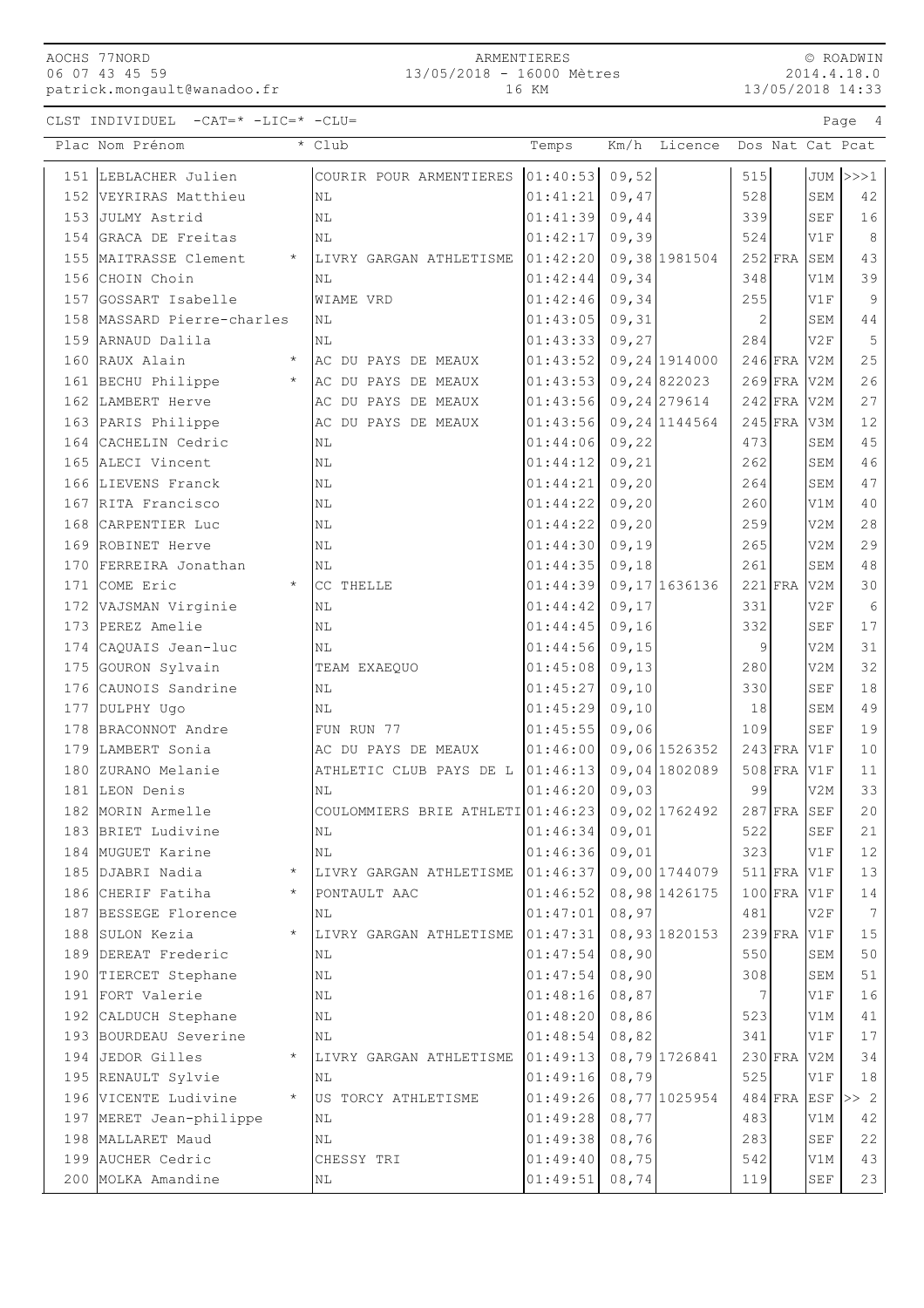CLST INDIVIDUEL  $-CAT=\star$  -LIC= $\star$  -CLU=

|     | Plac Nom Prénom                  | * Club                            | Temps            | Km/h   | Licence        |           |               |                      | Dos Nat Cat Pcat |
|-----|----------------------------------|-----------------------------------|------------------|--------|----------------|-----------|---------------|----------------------|------------------|
|     | 151 LEBLACHER Julien             | COURIR POUR ARMENTIERES           | 01:40:53         | 09,52  |                | 515       |               |                      | $JUM$ $>>1$      |
|     | 152 VEYRIRAS Matthieu            | ΝL                                | 01:41:21         | 09,47  |                | 528       |               | SEM                  | 42               |
|     | 153 JULMY Astrid                 | N <sub>L</sub>                    | 01:41:39         | 09,44  |                | 339       |               | SEF                  | 16               |
|     | 154 GRACA DE Freitas             | NL                                | 01:42:17         | 09,39  |                | 524       |               | V1F                  | 8                |
|     | 155 MAITRASSE Clement<br>$\star$ | LIVRY GARGAN ATHLETISME           | 01:42:20         |        | 09,38 1981504  |           | $252$ FRA     | <b>SEM</b>           | 43               |
|     | 156 CHOIN Choin                  | NL                                | 01:42:44         | 09,34  |                | 348       |               | V1M                  | 39               |
|     | 157 GOSSART Isabelle             | WIAME VRD                         | 01:42:46         | 09,34  |                | 255       |               | V1F                  | 9                |
|     | 158 MASSARD Pierre-charles       | ΝL                                | 01:43:05         | 09, 31 |                | 2         |               | SEM                  | 44               |
|     | 159 ARNAUD Dalila                | ΝL                                | 01:43:33         | 09,27  |                | 284       |               | V2F                  | 5                |
|     | 160 RAUX Alain<br>$\star$        | AC DU PAYS DE MEAUX               | 01:43:52         |        | 09,24 1914000  |           | $246$ FRA     | V2M                  | 25               |
|     | $\star$<br>161 BECHU Philippe    | AC DU PAYS DE MEAUX               | 01:43:53         |        | 09,24822023    |           | $269$ FRA     | V2M                  | 26               |
|     | 162 LAMBERT Herve                | AC DU PAYS DE MEAUX               | 01:43:56         |        | 09, 24 279614  |           | $242$ FRA     | V <sub>2M</sub>      | 27               |
|     | 163 PARIS Philippe               | AC DU PAYS DE MEAUX               | 01:43:56         |        | 09, 24 1144564 | $245$ FRA |               | V3M                  | 12               |
|     | 164 CACHELIN Cedric              | N <sub>L</sub>                    | 01:44:06         | 09,22  |                | 473       |               | SEM                  | 45               |
|     | 165 ALECI Vincent                | ΝL                                | 01:44:12         | 09, 21 |                | 262       |               | SEM                  | 46               |
|     | 166 LIEVENS Franck               | ΝL                                | 01:44:21         | 09, 20 |                | 264       |               | SEM                  | 47               |
|     | 167 RITA Francisco               | ΝL                                | 01:44:22         | 09, 20 |                | 260       |               | V1M                  | 40               |
|     | 168 CARPENTIER Luc               | NL                                | 01:44:22         | 09, 20 |                | 259       |               | V2M                  | 28               |
|     | 169 ROBINET Herve                | NL                                | 01:44:30         | 09,19  |                | 265       |               | V2M                  | 29               |
|     | 170 FERREIRA Jonathan            | NL                                | 01:44:35         | 09,18  |                | 261       |               | SEM                  | 48               |
|     | 171 COME Eric<br>$\star$         | CC THELLE                         | 01:44:39         |        | 09, 17 1636136 |           | $221$ FRA     | V2M                  | 30               |
| 172 | VAJSMAN Virginie                 | ΝL                                | 01:44:42         | 09, 17 |                | 331       |               | V2F                  | 6                |
| 173 | PEREZ Amelie                     | NL                                | 01:44:45         | 09, 16 |                | 332       |               | SEF                  | 17               |
|     | 174 CAQUAIS Jean-luc             | NL                                | 01:44:56         | 09, 15 |                | 9         |               | V2M                  | 31               |
|     | 175 GOURON Sylvain               | TEAM EXAEQUO                      | 01:45:08         | 09, 13 |                | 280       |               | V2M                  | 32               |
|     | 176 CAUNOIS Sandrine             | ΝL                                | 01:45:27         | 09, 10 |                | 330       |               | <b>SEF</b>           | 18               |
|     | 177 DULPHY Ugo                   | ΝL                                | 01:45:29         | 09, 10 |                | 18        |               | SEM                  | 49               |
|     | 178 BRACONNOT Andre              | FUN RUN 77                        | 01:45:55         | 09,06  |                | 109       |               | SEF                  | 19               |
|     | 179 LAMBERT Sonia                | AC DU PAYS DE MEAUX               | 01:46:00         |        | 09,06 1526352  |           | $243$ FRA     | V1F                  | 10               |
|     | 180 ZURANO Melanie               | ATHLETIC CLUB PAYS DE L           | 01:46:13         |        | 09,04 1802089  |           | $508$ FRA     | V1F                  | 11               |
|     | 181 LEON Denis                   | ΝL                                | 01:46:20         | 09,03  |                | 99        |               | V2M                  | 33               |
|     | 182 MORIN Armelle                | COULOMMIERS BRIE ATHLETI 01:46:23 |                  |        | 09,02 1762492  |           | $287$ FRA     | SEF                  | 20               |
|     | 183 BRIET Ludivine               | NL                                | $01:46:34$ 09,01 |        |                | 522       |               | $\operatorname{SEF}$ | 21               |
|     | 184   MUGUET Karine              | ΝL                                | 01:46:36         | 09,01  |                | 323       |               | V1F                  | 12               |
|     | 185 DJABRI Nadia<br>$^\star$     | LIVRY GARGAN ATHLETISME           | 01:46:37         |        | 09,00 1744079  |           | 511 FRA V1F   |                      | 13               |
|     | 186 CHERIF Fatiha<br>$\star$     | PONTAULT AAC                      | 01:46:52         |        | 08,98 1426175  |           | $100$ FRA V1F |                      | 14               |
|     | 187 BESSEGE Florence             | ΝL                                | 01:47:01         | 08,97  |                | 481       |               | V2F                  | $7\phantom{.0}$  |
|     | 188 SULON Kezia<br>$\star$       | LIVRY GARGAN ATHLETISME           | 01:47:31         |        | 08,93 1820153  |           | $239$ FRA     | V1F                  | 15               |
|     | 189 DEREAT Frederic              | ΝL                                | 01:47:54         | 08,90  |                | 550       |               | SEM                  | 50               |
|     | 190 TIERCET Stephane             | ΝL                                | 01:47:54         | 08,90  |                | 308       |               | SEM                  | 51               |
|     | 191 FORT Valerie                 | ΝL                                | 01:48:16         | 08,87  |                | 7         |               | V1F                  | 16               |
|     | 192 CALDUCH Stephane             | ΝL                                | 01:48:20         | 08,86  |                | 523       |               | V1M                  | $4\,1$           |
|     | 193 BOURDEAU Severine            | ΝL                                | 01:48:54         | 08,82  |                | 341       |               | V1F                  | $17\,$           |
|     | 194 JEDOR Gilles                 | LIVRY GARGAN ATHLETISME           | 01:49:13         |        | 08,79 1726841  |           | $230$ FRA     | V2M                  | 34               |
|     | 195 RENAULT Sylvie               | ΝL                                | 01:49:16         | 08,79  |                | 525       |               | V1F                  | 18               |
|     | 196 VICENTE Ludivine<br>$\star$  | US TORCY ATHLETISME               | 01:49:26         |        | 08,77 1025954  |           | $484$ FRA     | ESF                  | >> 2             |
|     | 197 MERET Jean-philippe          | ΝL                                | 01:49:28         | 08,77  |                | 483       |               | V1M                  | $4\,2$           |
|     | 198 MALLARET Maud                | ΝL                                | 01:49:38         | 08,76  |                | 283       |               | SEF                  | 22               |
|     | 199 AUCHER Cedric                | CHESSY TRI                        | 01:49:40         | 08,75  |                | 542       |               | V1M                  | 43               |
|     | 200 MOLKA Amandine               | ΝL                                | 01:49:51         | 08,74  |                | 119       |               | SEF                  | 23               |